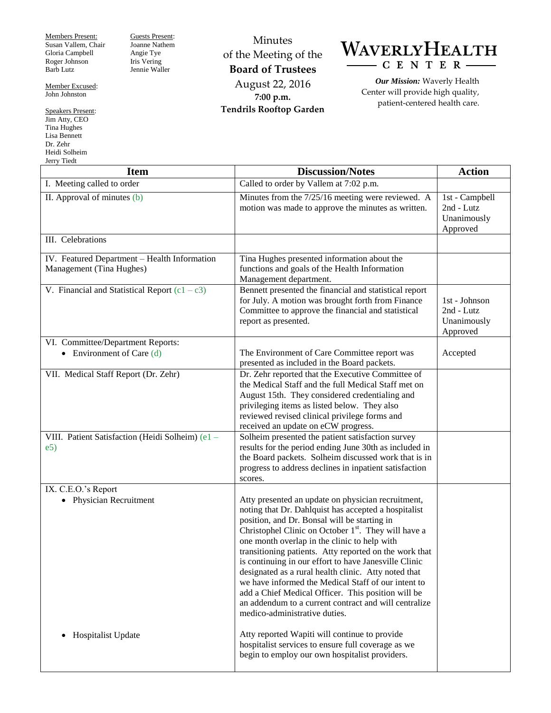Members Present: Susan Vallem, Chair Gloria Campbell Roger Johnson Barb Lutz

Member Excused: John Johnston

Speakers Present: Jim Atty, CEO Tina Hughes Lisa Bennett Dr. Zehr Heidi Solheim Jerry Tiedt

Guests Present: Joanne Nathem Angie Tye Iris Vering Jennie Waller

Minutes of the Meeting of the **Board of Trustees** August 22, 2016 **7:00 p.m. Tendrils Rooftop Garden**



*Our Mission:* Waverly Health Center will provide high quality, patient-centered health care.

| <b>Item</b>                                                              | <b>Discussion/Notes</b>                                                                                                                                                                                                                                                                                                                                                                                                                                                                                                                                                                                                                                          | <b>Action</b>                                           |
|--------------------------------------------------------------------------|------------------------------------------------------------------------------------------------------------------------------------------------------------------------------------------------------------------------------------------------------------------------------------------------------------------------------------------------------------------------------------------------------------------------------------------------------------------------------------------------------------------------------------------------------------------------------------------------------------------------------------------------------------------|---------------------------------------------------------|
| I. Meeting called to order                                               | Called to order by Vallem at 7:02 p.m.                                                                                                                                                                                                                                                                                                                                                                                                                                                                                                                                                                                                                           |                                                         |
| II. Approval of minutes (b)                                              | Minutes from the 7/25/16 meeting were reviewed. A<br>motion was made to approve the minutes as written.                                                                                                                                                                                                                                                                                                                                                                                                                                                                                                                                                          | 1st - Campbell<br>2nd - Lutz<br>Unanimously<br>Approved |
| III. Celebrations                                                        |                                                                                                                                                                                                                                                                                                                                                                                                                                                                                                                                                                                                                                                                  |                                                         |
| IV. Featured Department - Health Information<br>Management (Tina Hughes) | Tina Hughes presented information about the<br>functions and goals of the Health Information<br>Management department.                                                                                                                                                                                                                                                                                                                                                                                                                                                                                                                                           |                                                         |
| V. Financial and Statistical Report $(c1 - c3)$                          | Bennett presented the financial and statistical report<br>for July. A motion was brought forth from Finance<br>Committee to approve the financial and statistical<br>report as presented.                                                                                                                                                                                                                                                                                                                                                                                                                                                                        | 1st - Johnson<br>2nd - Lutz<br>Unanimously<br>Approved  |
| VI. Committee/Department Reports:<br>• Environment of Care $(d)$         | The Environment of Care Committee report was<br>presented as included in the Board packets.                                                                                                                                                                                                                                                                                                                                                                                                                                                                                                                                                                      | Accepted                                                |
| VII. Medical Staff Report (Dr. Zehr)                                     | Dr. Zehr reported that the Executive Committee of<br>the Medical Staff and the full Medical Staff met on<br>August 15th. They considered credentialing and<br>privileging items as listed below. They also<br>reviewed revised clinical privilege forms and<br>received an update on eCW progress.                                                                                                                                                                                                                                                                                                                                                               |                                                         |
| VIII. Patient Satisfaction (Heidi Solheim) (e1 -<br>e5)                  | Solheim presented the patient satisfaction survey<br>results for the period ending June 30th as included in<br>the Board packets. Solheim discussed work that is in<br>progress to address declines in inpatient satisfaction<br>scores.                                                                                                                                                                                                                                                                                                                                                                                                                         |                                                         |
| IX. C.E.O.'s Report<br>• Physician Recruitment                           | Atty presented an update on physician recruitment,<br>noting that Dr. Dahlquist has accepted a hospitalist<br>position, and Dr. Bonsal will be starting in<br>Christophel Clinic on October 1 <sup>st</sup> . They will have a<br>one month overlap in the clinic to help with<br>transitioning patients. Atty reported on the work that<br>is continuing in our effort to have Janesville Clinic<br>designated as a rural health clinic. Atty noted that<br>we have informed the Medical Staff of our intent to<br>add a Chief Medical Officer. This position will be<br>an addendum to a current contract and will centralize<br>medico-administrative duties. |                                                         |
| Hospitalist Update<br>$\bullet$                                          | Atty reported Wapiti will continue to provide<br>hospitalist services to ensure full coverage as we<br>begin to employ our own hospitalist providers.                                                                                                                                                                                                                                                                                                                                                                                                                                                                                                            |                                                         |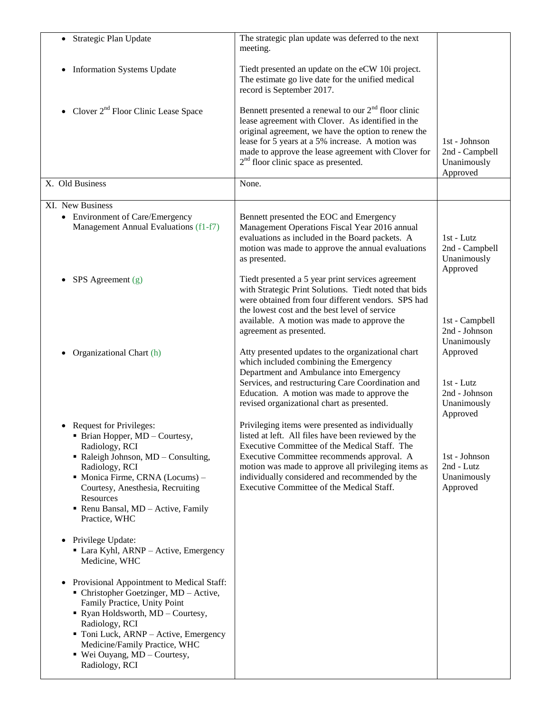| Strategic Plan Update<br>$\bullet$                                                                                                                                                                                                                                                                     | The strategic plan update was deferred to the next<br>meeting.                                                                                                                                                                                                                                                                                               |                                                                                     |
|--------------------------------------------------------------------------------------------------------------------------------------------------------------------------------------------------------------------------------------------------------------------------------------------------------|--------------------------------------------------------------------------------------------------------------------------------------------------------------------------------------------------------------------------------------------------------------------------------------------------------------------------------------------------------------|-------------------------------------------------------------------------------------|
| <b>Information Systems Update</b>                                                                                                                                                                                                                                                                      | Tiedt presented an update on the eCW 10i project.<br>The estimate go live date for the unified medical<br>record is September 2017.                                                                                                                                                                                                                          |                                                                                     |
| • Clover $2^{nd}$ Floor Clinic Lease Space                                                                                                                                                                                                                                                             | Bennett presented a renewal to our $2nd$ floor clinic<br>lease agreement with Clover. As identified in the<br>original agreement, we have the option to renew the<br>lease for 5 years at a 5% increase. A motion was<br>made to approve the lease agreement with Clover for<br>2 <sup>nd</sup> floor clinic space as presented.                             | 1st - Johnson<br>2nd - Campbell<br>Unanimously<br>Approved                          |
| X. Old Business                                                                                                                                                                                                                                                                                        | None.                                                                                                                                                                                                                                                                                                                                                        |                                                                                     |
| XI. New Business<br>• Environment of Care/Emergency<br>Management Annual Evaluations (f1-f7)                                                                                                                                                                                                           | Bennett presented the EOC and Emergency<br>Management Operations Fiscal Year 2016 annual<br>evaluations as included in the Board packets. A<br>motion was made to approve the annual evaluations<br>as presented.                                                                                                                                            | 1st - Lutz<br>2nd - Campbell<br>Unanimously<br>Approved                             |
| $SPS$ Agreement $(g)$                                                                                                                                                                                                                                                                                  | Tiedt presented a 5 year print services agreement<br>with Strategic Print Solutions. Tiedt noted that bids<br>were obtained from four different vendors. SPS had<br>the lowest cost and the best level of service<br>available. A motion was made to approve the<br>agreement as presented.                                                                  | 1st - Campbell<br>2nd - Johnson                                                     |
| Organizational Chart (h)                                                                                                                                                                                                                                                                               | Atty presented updates to the organizational chart<br>which included combining the Emergency<br>Department and Ambulance into Emergency<br>Services, and restructuring Care Coordination and<br>Education. A motion was made to approve the<br>revised organizational chart as presented.                                                                    | Unanimously<br>Approved<br>$1st$ - Lutz<br>2nd - Johnson<br>Unanimously<br>Approved |
| <b>Request for Privileges:</b><br>• Brian Hopper, MD - Courtesy,<br>Radiology, RCI<br>Raleigh Johnson, MD - Consulting,<br>Radiology, RCI<br>Monica Firme, CRNA (Locums) -<br>Courtesy, Anesthesia, Recruiting<br>Resources<br>Renu Bansal, MD - Active, Family<br>Practice, WHC                       | Privileging items were presented as individually<br>listed at left. All files have been reviewed by the<br>Executive Committee of the Medical Staff. The<br>Executive Committee recommends approval. A<br>motion was made to approve all privileging items as<br>individually considered and recommended by the<br>Executive Committee of the Medical Staff. | 1st - Johnson<br>2nd - Lutz<br>Unanimously<br>Approved                              |
| Privilege Update:<br>$\bullet$<br>• Lara Kyhl, ARNP - Active, Emergency<br>Medicine, WHC                                                                                                                                                                                                               |                                                                                                                                                                                                                                                                                                                                                              |                                                                                     |
| Provisional Appointment to Medical Staff:<br>• Christopher Goetzinger, MD - Active,<br>Family Practice, Unity Point<br>• Ryan Holdsworth, MD - Courtesy,<br>Radiology, RCI<br>• Toni Luck, ARNP – Active, Emergency<br>Medicine/Family Practice, WHC<br>■ Wei Ouyang, MD – Courtesy,<br>Radiology, RCI |                                                                                                                                                                                                                                                                                                                                                              |                                                                                     |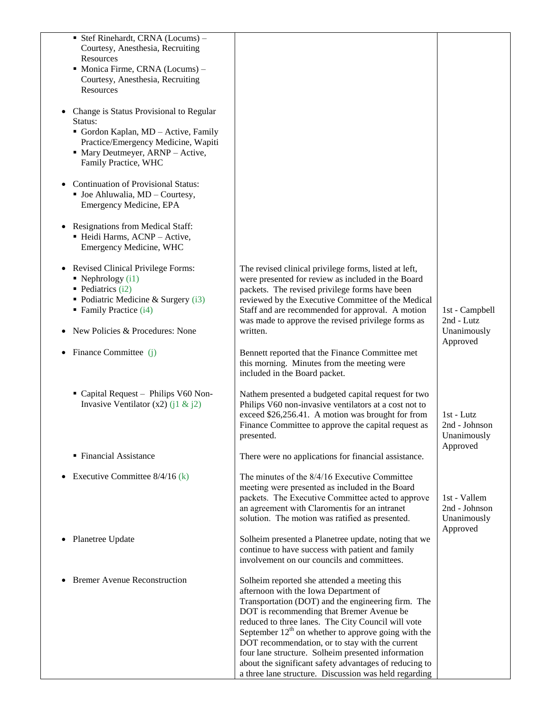| Stef Rinehardt, CRNA (Locums) -<br>Courtesy, Anesthesia, Recruiting       |                                                                                                              |                               |
|---------------------------------------------------------------------------|--------------------------------------------------------------------------------------------------------------|-------------------------------|
| Resources                                                                 |                                                                                                              |                               |
| • Monica Firme, CRNA (Locums) -                                           |                                                                                                              |                               |
| Courtesy, Anesthesia, Recruiting<br>Resources                             |                                                                                                              |                               |
|                                                                           |                                                                                                              |                               |
| Change is Status Provisional to Regular                                   |                                                                                                              |                               |
| Status:                                                                   |                                                                                                              |                               |
| Gordon Kaplan, MD - Active, Family<br>Practice/Emergency Medicine, Wapiti |                                                                                                              |                               |
| • Mary Deutmeyer, ARNP - Active,                                          |                                                                                                              |                               |
| Family Practice, WHC                                                      |                                                                                                              |                               |
| <b>Continuation of Provisional Status:</b>                                |                                                                                                              |                               |
| • Joe Ahluwalia, MD - Courtesy,                                           |                                                                                                              |                               |
| Emergency Medicine, EPA                                                   |                                                                                                              |                               |
| <b>Resignations from Medical Staff:</b>                                   |                                                                                                              |                               |
| · Heidi Harms, ACNP - Active,                                             |                                                                                                              |                               |
| Emergency Medicine, WHC                                                   |                                                                                                              |                               |
| <b>Revised Clinical Privilege Forms:</b>                                  | The revised clinical privilege forms, listed at left,                                                        |                               |
| $\blacksquare$ Nephrology (i1)                                            | were presented for review as included in the Board                                                           |                               |
| • Pediatrics $(i2)$                                                       | packets. The revised privilege forms have been                                                               |                               |
| • Podiatric Medicine & Surgery $(i3)$<br>• Family Practice (i4)           | reviewed by the Executive Committee of the Medical<br>Staff and are recommended for approval. A motion       | 1st - Campbell                |
|                                                                           | was made to approve the revised privilege forms as                                                           | 2nd - Lutz                    |
| New Policies & Procedures: None                                           | written.                                                                                                     | Unanimously                   |
| Finance Committee (j)                                                     | Bennett reported that the Finance Committee met                                                              | Approved                      |
|                                                                           | this morning. Minutes from the meeting were                                                                  |                               |
|                                                                           | included in the Board packet.                                                                                |                               |
| • Capital Request - Philips V60 Non-                                      | Nathem presented a budgeted capital request for two                                                          |                               |
| Invasive Ventilator (x2) (j1 & j2)                                        | Philips V60 non-invasive ventilators at a cost not to                                                        |                               |
|                                                                           | exceed \$26,256.41. A motion was brought for from<br>Finance Committee to approve the capital request as     | $1st$ - Lutz<br>2nd - Johnson |
|                                                                           | presented.                                                                                                   | Unanimously                   |
|                                                                           |                                                                                                              | Approved                      |
| • Financial Assistance                                                    | There were no applications for financial assistance.                                                         |                               |
| Executive Committee $8/4/16$ (k)                                          | The minutes of the 8/4/16 Executive Committee                                                                |                               |
|                                                                           | meeting were presented as included in the Board                                                              |                               |
|                                                                           | packets. The Executive Committee acted to approve<br>an agreement with Claromentis for an intranet           | 1st - Vallem<br>2nd - Johnson |
|                                                                           | solution. The motion was ratified as presented.                                                              | Unanimously                   |
|                                                                           |                                                                                                              | Approved                      |
| Planetree Update                                                          | Solheim presented a Planetree update, noting that we<br>continue to have success with patient and family     |                               |
|                                                                           | involvement on our councils and committees.                                                                  |                               |
| <b>Bremer Avenue Reconstruction</b>                                       | Solheim reported she attended a meeting this                                                                 |                               |
|                                                                           | afternoon with the Iowa Department of                                                                        |                               |
|                                                                           | Transportation (DOT) and the engineering firm. The                                                           |                               |
|                                                                           | DOT is recommending that Bremer Avenue be<br>reduced to three lanes. The City Council will vote              |                               |
|                                                                           | September $12th$ on whether to approve going with the                                                        |                               |
|                                                                           | DOT recommendation, or to stay with the current                                                              |                               |
|                                                                           | four lane structure. Solheim presented information<br>about the significant safety advantages of reducing to |                               |
|                                                                           | a three lane structure. Discussion was held regarding                                                        |                               |